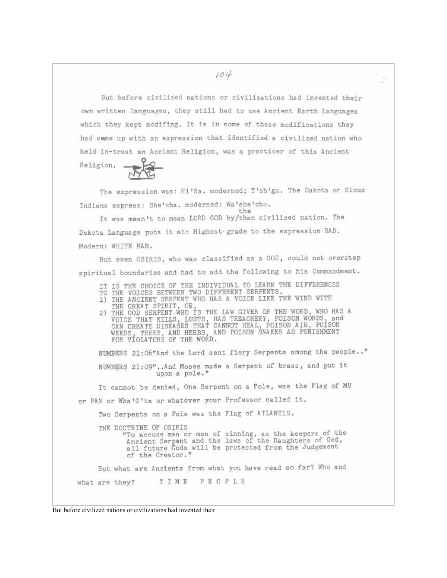But before civilized nations or civilizations had invented their own written languages, they still had to use Ancient Earth Languages which they kept modifing. It is in some of these modifications they had came up with an expression that identified a civilized nation who held in-trust an Ancient Religion, was a practicer of this Ancient

Religion.

The expression was: Hi'Sa. moderned; Y'sh'ga. The Dakota or Sioux Indians express: She'cha. moderned: Wa'she'cho.  $t.h$ e

It was mean't to mean LORD GOD by/than civilized nation. The Dakota Language puts it at: Highest grade to the expression BAD. Modern: WHITE MAN.

But even OSIRIS, who was classified as a GOD, could not overstep spiritual boundaries and had to add the following to his Commandment.

- 
- IT IS THE CHOICE OF THE INDIVIDUAL TO LEARN THE DIFFERENCES<br>TO THE VOICES BETWEEN TWO DIFFERENT SERPENTS.<br>1) THE ANCIENT SERPENT WHO HAS A VOICE LIKE THE WIND WITH
- 
- THE GREAT SPIRIT, OR,<br>2) THE GOD SERPENT WHO IS THE LAW GIVER OF THE WORD, WHO HAS A<br>VOICE THAT KILLS, LUSTS, HAS TREACHERY, POISON WORDS, and<br>CAN CREATE DISEASES THAT CANNOT HEAL, POISON AIR, POISON WEEDS, TREES, AND HERBS, AND POISON SNAKES AS PUNISHMENT FOR VIOLATORS OF THE WORD.

NUMBERS 21:06"And the Lord sent fiery Serpents among the people.." NUMBERS 21:09"..And Moses made a Serpent of brass, and put it upon a pole."

It cannot be denied, One Serpent on a Pole, was the Flag of MU

or PAN or Wha'O'ta or whatever your Professor called it.

Two Serpents on a Pole was the Flag of ATLANTIS.

THE DOCTRINE OF OSIRIS "To accuse man or men of sinning, as the keepers of the Ancient Serpent and the laws of the Daughters of God, all future Gods will be protected from the Judgement of the Creator."

But what are Ancients from what you have read so far? Who and

TIME PEOPLE what are they?

But before civilized nations or civilizations had invented their